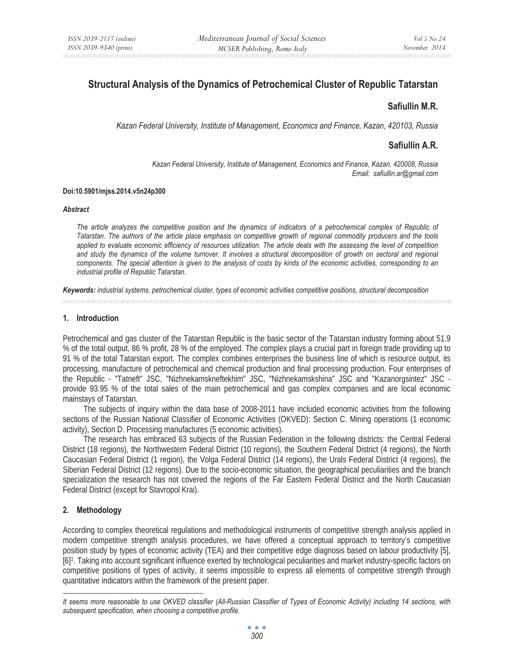# **Structural Analysis of the Dynamics of Petrochemical Cluster of Republic Tatarstan**

# **Safiullin M.R.**

*Kazan Federal University, Institute of Management, Economics and Finance, Kazan, 420103, Russia*

# **Safiullin A.R.**

*Kazan Federal University, Institute of Management, Economics and Finance, Kazan, 420008, Russia Email: safiullin.ar@gmail.com* 

#### **Doi:10.5901/mjss.2014.v5n24p300**

#### *Abstract*

The article analyzes the competitive position and the dynamics of indicators of a petrochemical complex of Republic of *Tatarstan. The authors of the article place emphasis on competitive growth of regional commodity producers and the tools applied to evaluate economic efficiency of resources utilization. The article deals with the assessing the level of competition* and study the dynamics of the volume turnover. It involves a structural decomposition of growth on sectoral and regional *components. The special attention is given to the analysis of costs by kinds of the economic activities, corresponding to an industrial profile of Republic Tatarstan.* 

*Keywords: industrial systems, petrochemical cluster, types of economic activities competitive positions, structural decomposition* 

#### **1. Introduction**

Petrochemical and gas cluster of the Tatarstan Republic is the basic sector of the Tatarstan industry forming about 51.9 % of the total output, 86 % profit, 28 % of the employed. The complex plays a crucial part in foreign trade providing up to 91 % of the total Tatarstan export. The complex combines enterprises the business line of which is resource output, its processing, manufacture of petrochemical and chemical production and final processing production. Four enterprises of the Republic - "Tatneft" JSC, "Nizhnekamskneftekhim" JSC, "Nizhnekamskshina" JSC and "Kazanorgsintez" JSC provide 93.95 % of the total sales of the main petrochemical and gas complex companies and are local economic mainstays of Tatarstan.

The subjects of inquiry within the data base of 2008-2011 have included economic activities from the following sections of the Russian National Classifier of Economic Activities (OKVED): Section C. Mining operations (1 economic activity), Section D. Processing manufactures (5 economic activities).

The research has embraced 63 subjects of the Russian Federation in the following districts: the Central Federal District (18 regions), the Northwestern Federal District (10 regions), the Southern Federal District (4 regions), the North Caucasian Federal District (1 region), the Volga Federal District (14 regions), the Urals Federal District (4 regions), the Siberian Federal District (12 regions). Due to the socio-economic situation, the geographical peculiarities and the branch specialization the research has not covered the regions of the Far Eastern Federal District and the North Caucasian Federal District (except for Stavropol Krai).

## **2. Methodology**

According to complex theoretical regulations and methodological instruments of competitive strength analysis applied in modern competitive strength analysis procedures, we have offered a conceptual approach to territory's competitive position study by types of economic activity (TEA) and their competitive edge diagnosis based on labour productivity [5], [6]1. Taking into account significant influence exerted by technological peculiarities and market industry-specific factors on competitive positions of types of activity, it seems impossible to express all elements of competitive strength through quantitative indicators within the framework of the present paper.

*It seems more reasonable to use OKVED classifier (All-Russian Classifier of Types of Economic Activity) including 14 sections, with subsequent specification, when choosing a competitive profile.*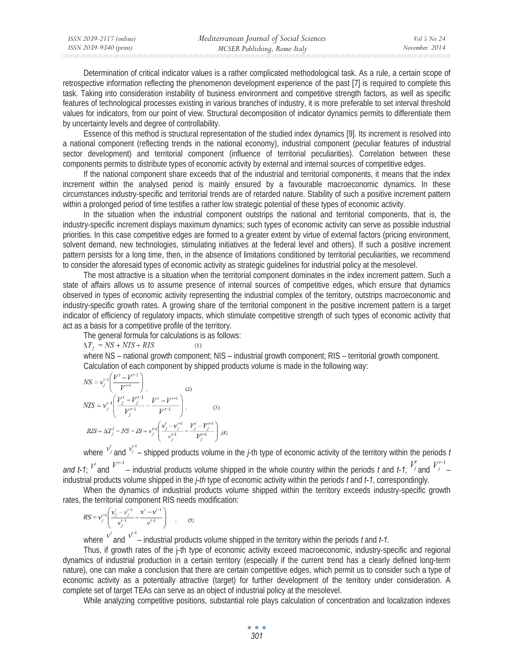| ISSN 2039-2117 (online) | Mediterranean Journal of Social Sciences | Vol 5 No 24   |
|-------------------------|------------------------------------------|---------------|
| ISSN 2039-9340 (print)  | MCSER Publishing, Rome-Italy             | November 2014 |

Determination of critical indicator values is a rather complicated methodological task. As a rule, a certain scope of retrospective information reflecting the phenomenon development experience of the past [7] is required to complete this task. Taking into consideration instability of business environment and competitive strength factors, as well as specific features of technological processes existing in various branches of industry, it is more preferable to set interval threshold values for indicators, from our point of view. Structural decomposition of indicator dynamics permits to differentiate them by uncertainty levels and degree of controllability.

Essence of this method is structural representation of the studied index dynamics [9]. Its increment is resolved into a national component (reflecting trends in the national economy), industrial component (peculiar features of industrial sector development) and territorial component (influence of territorial peculiarities). Correlation between these components permits to distribute types of economic activity by external and internal sources of competitive edges.

If the national component share exceeds that of the industrial and territorial components, it means that the index increment within the analysed period is mainly ensured by a favourable macroeconomic dynamics. In these circumstances industry-specific and territorial trends are of retarded nature. Stability of such a positive increment pattern within a prolonged period of time testifies a rather low strategic potential of these types of economic activity.

In the situation when the industrial component outstrips the national and territorial components, that is, the industry-specific increment displays maximum dynamics; such types of economic activity can serve as possible industrial priorities. In this case competitive edges are formed to a greater extent by virtue of external factors (pricing environment, solvent demand, new technologies, stimulating initiatives at the federal level and others). If such a positive increment pattern persists for a long time, then, in the absence of limitations conditioned by territorial peculiarities, we recommend to consider the aforesaid types of economic activity as strategic guidelines for industrial policy at the mesolevel.

The most attractive is a situation when the territorial component dominates in the index increment pattern. Such a state of affairs allows us to assume presence of internal sources of competitive edges, which ensure that dynamics observed in types of economic activity representing the industrial complex of the territory, outstrips macroeconomic and industry-specific growth rates. A growing share of the territorial component in the positive increment pattern is a target indicator of efficiency of regulatory impacts, which stimulate competitive strength of such types of economic activity that act as a basis for a competitive profile of the territory.

The general formula for calculations is as follows:

 $(1)$ 

$$
\Delta T_{\rm r} = NS + NIS + RIS
$$

where NS – national growth component; NIS – industrial growth component; RIS – territorial growth component. Calculation of each component by shipped products volume is made in the following way:

$$
NS = v_j^{t-1} \left( \frac{V^t - V^{t-1}}{V^{t-1}} \right),
$$
  
\n
$$
NIS = v_j^{t-1} \left( \frac{V_j^t - V_j^{t-1}}{V_j^{t-1}} - \frac{V^t - V^{t-1}}{V^{t-1}} \right),
$$
  
\n
$$
RIS = \Delta T_j^l - NS - IS = v_j^{t-1} \left( \frac{v_j^t - v_j^{t-1}}{v_j^{t-1}} - \frac{V_j^t - V_j^{t-1}}{V_j^{t-1}} \right),
$$
  
\n(3)

where  $\frac{v'_j}{v}$  and  $\frac{v'^{-1}}{v}$  shipped products volume in the *j*-th type of economic activity of the territory within the periods *t* and t-1;  $V'$  and  $V'^{-1}$  – industrial products volume shipped in the whole country within the periods t and t-1;  $V'_{j}$  and  $V'^{-1}_{j}$ 

industrial products volume shipped in the *j-th* type of economic activity within the periods *t* and *t-1*, correspondingly.

When the dynamics of industrial products volume shipped within the territory exceeds industry-specific growth rates, the territorial component RIS needs modification:

$$
RS = v_j^{t-1} \left( \frac{v_j^t - v_j^{t-1}}{v_j^{t-1}} - \frac{v^t - v_{j-1}^{t-1}}{v_j^{t-1}} \right) , \qquad (5)
$$

where  $\frac{v^t}{t}$  and  $\frac{v^{t-1}}{t}$  industrial products volume shipped in the territory within the periods *t* and *t*-1.

Thus, if growth rates of the j-th type of economic activity exceed macroeconomic, industry-specific and regional dynamics of industrial production in a certain territory (especially if the current trend has a clearly defined long-term nature), one can make a conclusion that there are certain competitive edges, which permit us to consider such a type of economic activity as a potentially attractive (target) for further development of the territory under consideration. A complete set of target TEAs can serve as an object of industrial policy at the mesolevel.

While analyzing competitive positions, substantial role plays calculation of concentration and localization indexes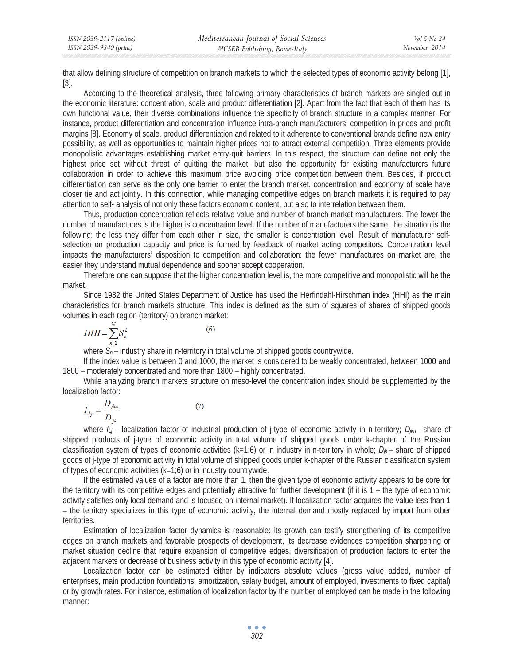that allow defining structure of competition on branch markets to which the selected types of economic activity belong [1], [3].

According to the theoretical analysis, three following primary characteristics of branch markets are singled out in the economic literature: concentration, scale and product differentiation [2]. Apart from the fact that each of them has its own functional value, their diverse combinations influence the specificity of branch structure in a complex manner. For instance, product differentiation and concentration influence intra-branch manufacturers' competition in prices and profit margins [8]. Economy of scale, product differentiation and related to it adherence to conventional brands define new entry possibility, as well as opportunities to maintain higher prices not to attract external competition. Three elements provide monopolistic advantages establishing market entry-quit barriers. In this respect, the structure can define not only the highest price set without threat of quitting the market, but also the opportunity for existing manufacturers future collaboration in order to achieve this maximum price avoiding price competition between them. Besides, if product differentiation can serve as the only one barrier to enter the branch market, concentration and economy of scale have closer tie and act jointly. In this connection, while managing competitive edges on branch markets it is required to pay attention to self- analysis of not only these factors economic content, but also to interrelation between them.

Thus, production concentration reflects relative value and number of branch market manufacturers. The fewer the number of manufactures is the higher is concentration level. If the number of manufacturers the same, the situation is the following: the less they differ from each other in size, the smaller is concentration level. Result of manufacturer selfselection on production capacity and price is formed by feedback of market acting competitors. Concentration level impacts the manufacturers' disposition to competition and collaboration: the fewer manufactures on market are, the easier they understand mutual dependence and sooner accept cooperation.

Therefore one can suppose that the higher concentration level is, the more competitive and monopolistic will be the market.

Since 1982 the United States Department of Justice has used the Herfindahl-Hirschman index (HHI) as the main characteristics for branch markets structure. This index is defined as the sum of squares of shares of shipped goods volumes in each region (territory) on branch market:

$$
HHI = \sum_{n=1}^{N} S_n^2
$$

where  $S_n$  – industry share in n-territory in total volume of shipped goods countrywide.

 $(6)$ 

If the index value is between 0 and 1000, the market is considered to be weakly concentrated, between 1000 and 1800 – moderately concentrated and more than 1800 – highly concentrated.

While analyzing branch markets structure on meso-level the concentration index should be supplemented by the localization factor:

$$
I_{Lj} = \frac{D_{jkn}}{D_{jk}}
$$
\n<sup>(7)</sup>

 where *ILj* – localization factor of industrial production of j-type of economic activity in n-territory; *Djkn*– share of shipped products of j-type of economic activity in total volume of shipped goods under k-chapter of the Russian classification system of types of economic activities (k=1;6) or in industry in n-territory in whole; *Djk* – share of shipped goods of j-type of economic activity in total volume of shipped goods under k-chapter of the Russian classification system of types of economic activities (k=1;6) or in industry countrywide.

If the estimated values of a factor are more than 1, then the given type of economic activity appears to be core for the territory with its competitive edges and potentially attractive for further development (if it is 1 – the type of economic activity satisfies only local demand and is focused on internal market). If localization factor acquires the value less than 1 – the territory specializes in this type of economic activity, the internal demand mostly replaced by import from other territories.

Estimation of localization factor dynamics is reasonable: its growth can testify strengthening of its competitive edges on branch markets and favorable prospects of development, its decrease evidences competition sharpening or market situation decline that require expansion of competitive edges, diversification of production factors to enter the adjacent markets or decrease of business activity in this type of economic activity [4].

Localization factor can be estimated either by indicators absolute values (gross value added, number of enterprises, main production foundations, amortization, salary budget, amount of employed, investments to fixed capital) or by growth rates. For instance, estimation of localization factor by the number of employed can be made in the following manner: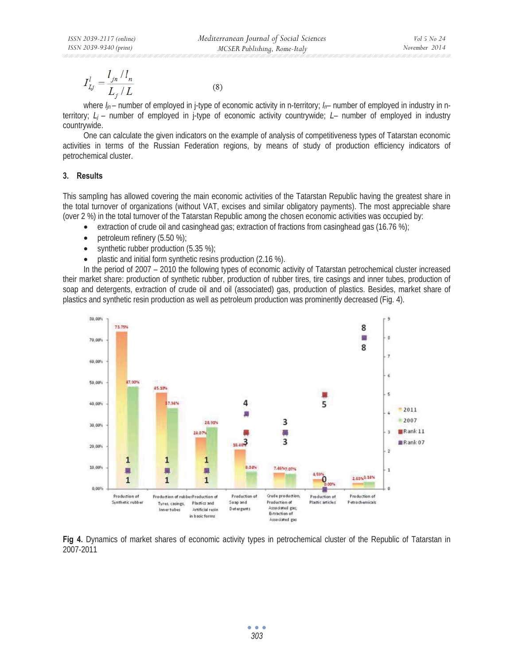$$
I_{Lj}^l = \frac{I_{jn} / I_n}{L, / L}
$$

 $(8)$ 

where  $l_{in}$  – number of employed in j-type of economic activity in n-territory;  $l_{n}$ – number of employed in industry in nterritory; *Lj* – number of employed in j-type of economic activity countrywide; *L*– number of employed in industry countrywide.

One can calculate the given indicators on the example of analysis of competitiveness types of Tatarstan economic activities in terms of the Russian Federation regions, by means of study of production efficiency indicators of petrochemical cluster.

## **3. Results**

This sampling has allowed covering the main economic activities of the Tatarstan Republic having the greatest share in the total turnover of organizations (without VAT, excises and similar obligatory payments). The most appreciable share (over 2 %) in the total turnover of the Tatarstan Republic among the chosen economic activities was occupied by:

- extraction of crude oil and casinghead gas; extraction of fractions from casinghead gas (16.76 %);
- petroleum refinery (5.50 %);
- synthetic rubber production (5.35 %);
- plastic and initial form synthetic resins production (2.16 %).

In the period of 2007 – 2010 the following types of economic activity of Tatarstan petrochemical cluster increased their market share: production of synthetic rubber, production of rubber tires, tire casings and inner tubes, production of soap and detergents, extraction of crude oil and oil (associated) gas, production of plastics. Besides, market share of plastics and synthetic resin production as well as petroleum production was prominently decreased (Fig. 4).



**Fig 4.** Dynamics of market shares of economic activity types in petrochemical cluster of the Republic of Tatarstan in 2007-2011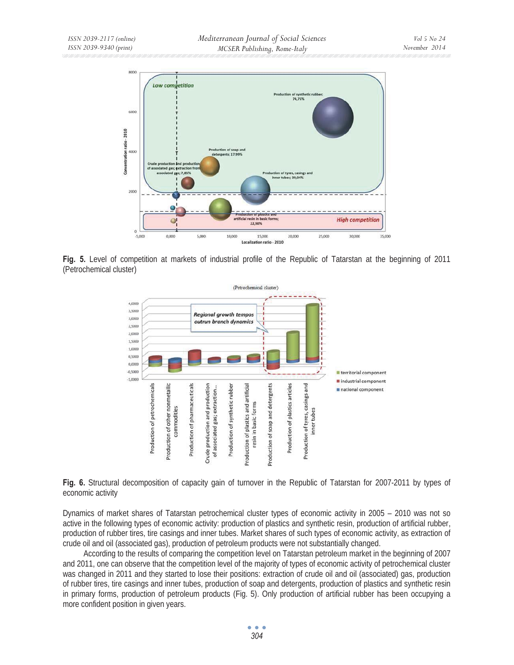

**Fig. 5.** Level of competition at markets of industrial profile of the Republic of Tatarstan at the beginning of 2011 (Petrochemical cluster)



**Fig. 6.** Structural decomposition of capacity gain of turnover in the Republic of Tatarstan for 2007-2011 by types of economic activity

Dynamics of market shares of Tatarstan petrochemical cluster types of economic activity in 2005 – 2010 was not so active in the following types of economic activity: production of plastics and synthetic resin, production of artificial rubber, production of rubber tires, tire casings and inner tubes. Market shares of such types of economic activity, as extraction of crude oil and oil (associated gas), production of petroleum products were not substantially changed.

According to the results of comparing the competition level on Tatarstan petroleum market in the beginning of 2007 and 2011, one can observe that the competition level of the majority of types of economic activity of petrochemical cluster was changed in 2011 and they started to lose their positions: extraction of crude oil and oil (associated) gas, production of rubber tires, tire casings and inner tubes, production of soap and detergents, production of plastics and synthetic resin in primary forms, production of petroleum products (Fig. 5). Only production of artificial rubber has been occupying a more confident position in given years.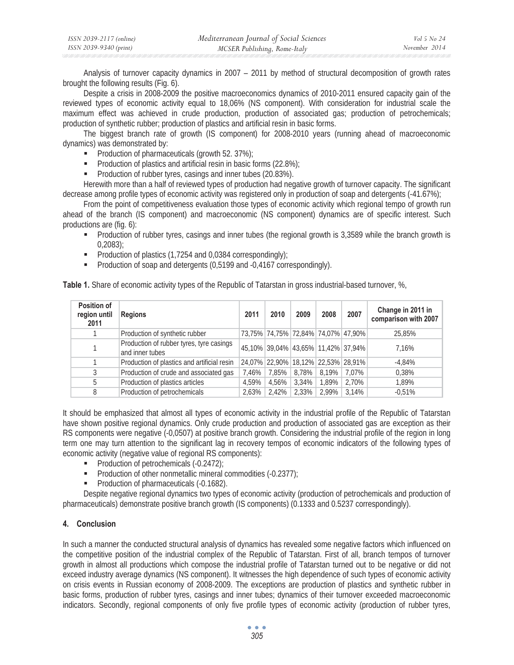| ISSN 2039-2117 (online) | Mediterranean Journal of Social Sciences | Vol 5 No 24   |
|-------------------------|------------------------------------------|---------------|
| ISSN 2039-9340 (print)  | MCSER Publishing, Rome-Italy             | November 2014 |

Analysis of turnover capacity dynamics in 2007 – 2011 by method of structural decomposition of growth rates brought the following results (Fig. 6).

Despite a crisis in 2008-2009 the positive macroeconomics dynamics of 2010-2011 ensured capacity gain of the reviewed types of economic activity equal to 18,06% (NS component). With consideration for industrial scale the maximum effect was achieved in crude production, production of associated gas; production of petrochemicals; production of synthetic rubber; production of plastics and artificial resin in basic forms.

The biggest branch rate of growth (IS component) for 2008-2010 years (running ahead of macroeconomic dynamics) was demonstrated by:

- Production of pharmaceuticals (growth 52. 37%);
- **Production of plastics and artificial resin in basic forms (22.8%);**
- **Production of rubber tyres, casings and inner tubes (20.83%).**

Herewith more than a half of reviewed types of production had negative growth of turnover capacity. The significant decrease among profile types of economic activity was registered only in production of soap and detergents (-41.67%);

From the point of competitiveness evaluation those types of economic activity which regional tempo of growth run ahead of the branch (IS component) and macroeconomic (NS component) dynamics are of specific interest. Such productions are (fig. 6):

- Production of rubber tyres, casings and inner tubes (the regional growth is 3,3589 while the branch growth is 0,2083);
- **Production of plastics (1,7254 and 0,0384 correspondingly);**
- Production of soap and detergents (0,5199 and -0,4167 correspondingly).

| <b>Position of</b><br>region until<br>2011 | <b>Regions</b>                                              | 2011  | 2010                               | 2009  | 2008  | 2007  | Change in 2011 in<br>comparison with 2007 |
|--------------------------------------------|-------------------------------------------------------------|-------|------------------------------------|-------|-------|-------|-------------------------------------------|
|                                            | Production of synthetic rubber                              |       | 73,75% 74,75% 72,84% 74,07% 47,90% |       |       |       | 25.85%                                    |
|                                            | Production of rubber tyres, tyre casings<br>and inner tubes |       | 45,10% 39,04% 43,65% 11,42% 37,94% |       |       |       | 7.16%                                     |
|                                            | Production of plastics and artificial resin                 |       | 24,07% 22,90% 18,12% 22,53% 28,91% |       |       |       | $-4.84%$                                  |
| 3                                          | Production of crude and associated gas                      | 7.46% | 7.85%                              | 8,78% | 8,19% | 7.07% | 0,38%                                     |
| 5                                          | Production of plastics articles                             | 4.59% | 4.56%                              | 3.34% | 1.89% | 2.70% | 1.89%                                     |
| 8                                          | Production of petrochemicals                                | 2.63% | 2.42%                              | 2,33% | 2.99% | 3.14% | $-0.51%$                                  |

It should be emphasized that almost all types of economic activity in the industrial profile of the Republic of Tatarstan have shown positive regional dynamics. Only crude production and production of associated gas are exception as their RS components were negative (-0,0507) at positive branch growth. Considering the industrial profile of the region in long term one may turn attention to the significant lag in recovery tempos of economic indicators of the following types of economic activity (negative value of regional RS components):

- **Production of petrochemicals (-0.2472);**
- **Production of other nonmetallic mineral commodities**  $(-0.2377)$ **;**
- Production of pharmaceuticals (-0.1682).

Despite negative regional dynamics two types of economic activity (production of petrochemicals and production of pharmaceuticals) demonstrate positive branch growth (IS components) (0.1333 and 0.5237 correspondingly).

## **4. Conclusion**

In such a manner the conducted structural analysis of dynamics has revealed some negative factors which influenced on the competitive position of the industrial complex of the Republic of Tatarstan. First of all, branch tempos of turnover growth in almost all productions which compose the industrial profile of Tatarstan turned out to be negative or did not exceed industry average dynamics (NS component). It witnesses the high dependence of such types of economic activity on crisis events in Russian economy of 2008-2009. The exceptions are production of plastics and synthetic rubber in basic forms, production of rubber tyres, casings and inner tubes; dynamics of their turnover exceeded macroeconomic indicators. Secondly, regional components of only five profile types of economic activity (production of rubber tyres,